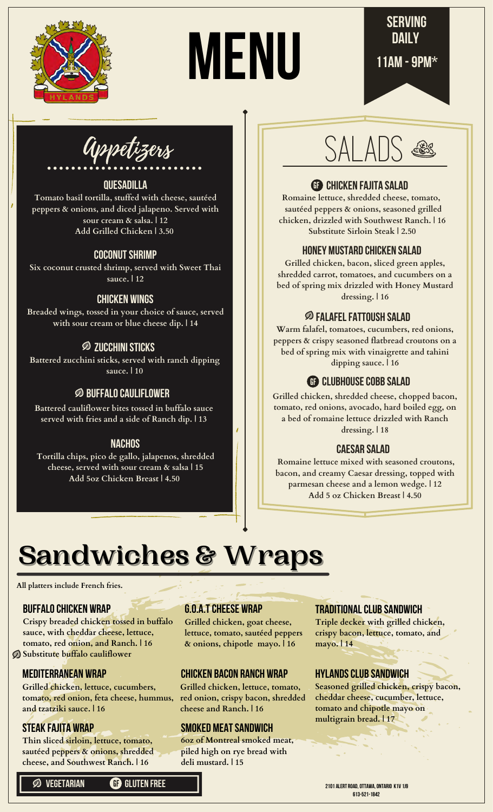

# MENU



Appetizers

#### **Quesadilla**

**Tomato basil tortilla, stuffed with cheese, sautéed peppers & onions, and diced jalapeno. Served with sour cream & salsa. | 12 Add Grilled Chicken | 3.50**

#### **coconut shrimp**

**Six coconut crusted shrimp, served with Sweet Thai sauce. | 12**

#### **Chicken Wings**

**Breaded wings, tossed in your choice of sauce, served with sour cream or blue cheese dip. | 14**

#### **zucchini sticks**

**Battered zucchini sticks, served with ranch dipping sauce. | 10**

#### **Buffalo cauliflower**

**Battered cauliflower bites tossed in buffalo sauce served with fries and a side of Ranch dip. | 13**

#### **Nachos**

**Tortilla chips, pico de gallo, jalapenos, shredded cheese, served with sour cream & salsa | 15 Add 5oz Chicken Breast | 4.50**

# **salads**

#### **Chicken fajita salad** GF

**Romaine lettuce, shredded cheese, tomato, sautéed peppers & onions, seasoned grilled chicken, drizzled with Southwest Ranch. | 16 Substitute Sirloin Steak | 2.50**

#### **Honey Mustard Chicken salad**

**Grilled chicken, bacon, sliced green apples, shredded carrot, tomatoes, and cucumbers on a bed of spring mix drizzled with Honey Mustard dressing. | 16**

#### **Falafel Fattoush Salad**

**Warm falafel, tomatoes, cucumbers, red onions, peppers & crispy seasoned flatbread croutons on a bed of spring mix with vinaigrette and tahini dipping sauce. | 16**

#### GF **Clubhouse cobB salad**

**Grilled chicken, shredded cheese, chopped bacon, tomato, red onions, avocado, hard boiled egg, on a bed of romaine lettuce drizzled with Ranch dressing. | 18**

#### **caesar salad**

**Romaine lettuce mixed with seasoned croutons, bacon, and creamy Caesar dressing, topped with parmesan cheese and a lemon wedge. | 12 Add 5 oz Chicken Breast | 4.50**

# **Sandwiches & Wraps**

**All platters include French fries.** 

#### **Buffalo Chicken Wrap**

**Crispy breaded chicken tossed in buffalo sauce, with cheddar cheese, lettuce, tomato, red onion, and Ranch. | 16 Substitute buffalo cauliflower**

#### **Mediterranean wrap**

**Grilled chicken, lettuce, cucumbers, tomato, red onion, feta cheese, hummus, and tzatziki sauce. | 16**

#### **Steak Fajita wrap**

**Thin sliced sirloin, lettuce, tomato, sautéed peppers & onions, shredded cheese, and Southwest Ranch. | 16**

**vegetarian** GF **Gluten free**

#### **G.o.a.t cheese Wrap**

**Grilled chicken, goat cheese, lettuce, tomato, sautéed peppers & onions, chipotle mayo. | 16**

#### **Chicken Bacon Ranch wrap**

**Grilled chicken, lettuce, tomato, red onion, crispy bacon, shredded cheese and Ranch. | 16**

#### **Smoked Meat Sandwich**

**6oz of Montreal smoked meat, piled high on rye bread with deli mustard. | 15**

#### **Traditional Club Sandwich**

**Triple decker with grilled chicken, crispy bacon, lettuce, tomato, and mayo. | 14**

#### **Hylands Club Sandwich**

**Seasoned grilled chicken, crispy bacon, cheddar cheese, cucumber, lettuce, tomato and chipotle mayo on multigrain bread. | 17**

2101 Alert Road, Ottawa, Ontario K1V 1J9 613-521-1842